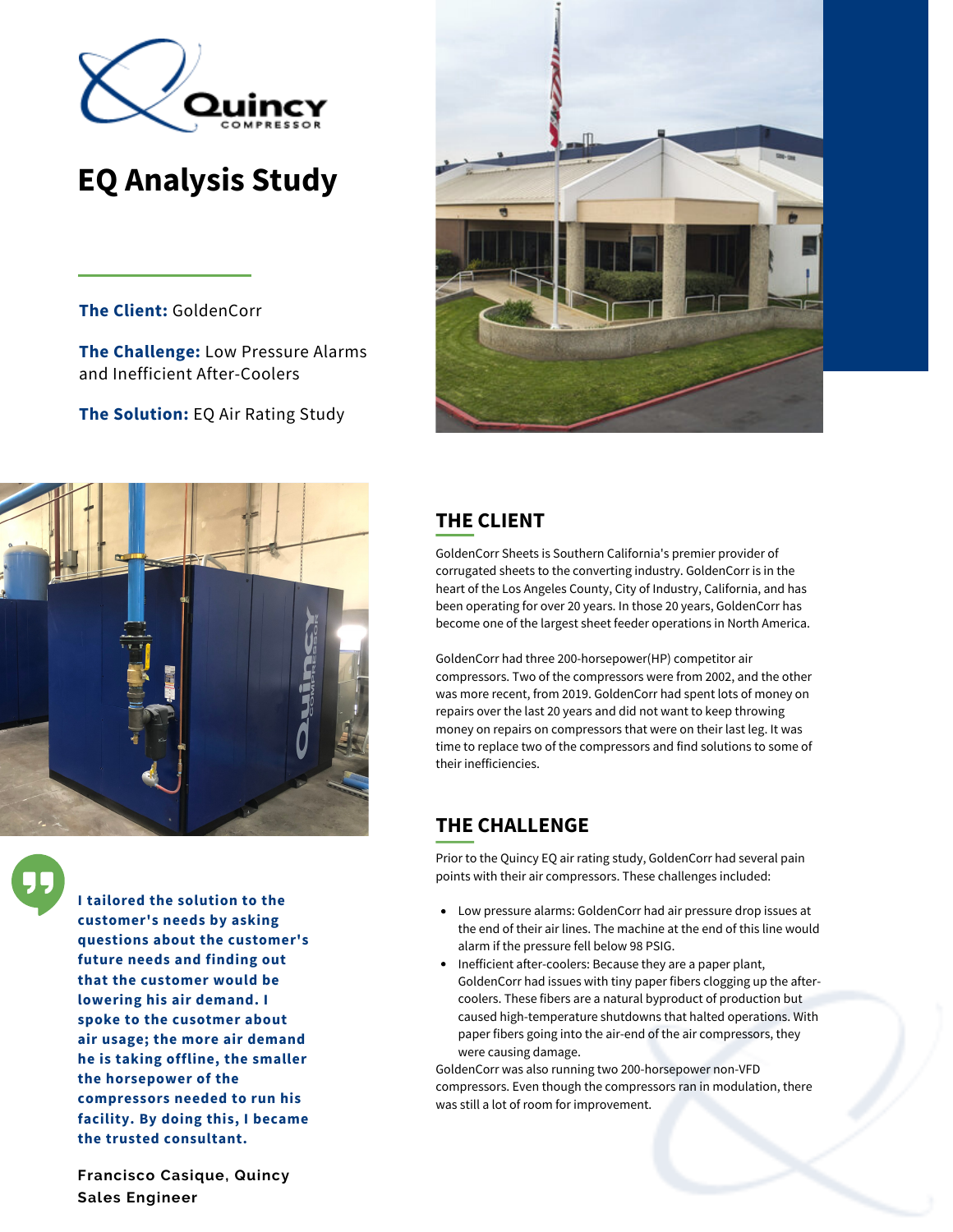

# **EQ Analysis Study**

**The Client:** GoldenCorr

**The Challenge:** Low Pressure Alarms and Inefficient After-Coolers

**The Solution:** EQ Air Rating Study





**I tailored the solution to the customer's needs by asking questions about the customer's future needs and finding out that the customer would be lowering his air demand. I spoke to the cusotmer about air usage; the more air demand he is taking offline, the smaller the horsepower of the compressors needed to run his facility. By doing this, I became the trusted consultant.**

**Francisco Casique, Quincy Sales Engineer**

## **THE CLIENT**

GoldenCorr Sheets is Southern California's premier provider of corrugated sheets to the converting industry. GoldenCorr is in the heart of the Los Angeles County, City of Industry, California, and has been operating for over 20 years. In those 20 years, GoldenCorr has become one of the largest sheet feeder operations in North America.

GoldenCorr had three 200-horsepower(HP) competitor air compressors. Two of the compressors were from 2002, and the other was more recent, from 2019. GoldenCorr had spent lots of money on repairs over the last 20 years and did not want to keep throwing money on repairs on compressors that were on their last leg. It was time to replace two of the compressors and find solutions to some of their inefficiencies.

# **THE CHALLENGE**

Prior to the Quincy EQ air rating study, GoldenCorr had several pain points with their air compressors. These challenges included:

- Low pressure alarms: GoldenCorr had air pressure drop issues at the end of their air lines. The machine at the end of this line would alarm if the pressure fell below 98 PSIG.
- Inefficient after-coolers: Because they are a paper plant, GoldenCorr had issues with tiny paper fibers clogging up the aftercoolers. These fibers are a natural byproduct of production but caused high-temperature shutdowns that halted operations. With paper fibers going into the air-end of the air compressors, they were causing damage.

GoldenCorr was also running two 200-horsepower non-VFD compressors. Even though the compressors ran in modulation, there was still a lot of room for improvement.